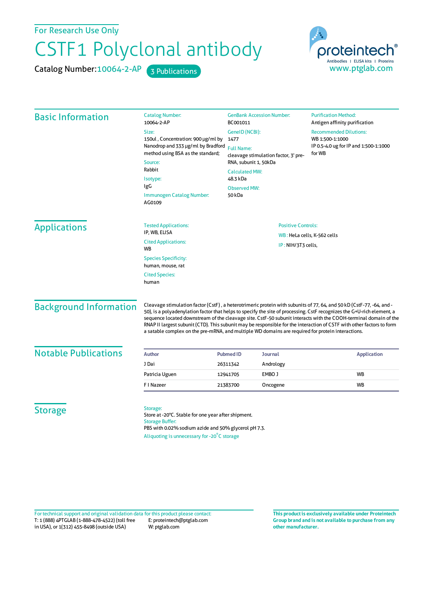For Research Use Only

## CSTF1 Polyclonal antibody

Catalog Number: 10064-2-AP 3 Publications



| <b>Basic Information</b>      | <b>Catalog Number:</b><br>10064-2-AP                                                                                                                                                                                                                                                                                                                                                                                                                                                                                                                                                             | <b>GenBank Accession Number:</b><br>BC001011                                                                 | <b>Purification Method:</b><br>Antigen affinity purification                                        |  |
|-------------------------------|--------------------------------------------------------------------------------------------------------------------------------------------------------------------------------------------------------------------------------------------------------------------------------------------------------------------------------------------------------------------------------------------------------------------------------------------------------------------------------------------------------------------------------------------------------------------------------------------------|--------------------------------------------------------------------------------------------------------------|-----------------------------------------------------------------------------------------------------|--|
|                               | Size:<br>150ul, Concentration: 900 µg/ml by<br>Nanodrop and 333 µg/ml by Bradford<br>method using BSA as the standard;<br>Source:<br>Rabbit<br>Isotype:<br>IgG<br>Immunogen Catalog Number:<br>AG0109                                                                                                                                                                                                                                                                                                                                                                                            | GeneID (NCBI):<br>1477<br><b>Full Name:</b><br>cleavage stimulation factor, 3' pre-<br>RNA, subunit 1, 50kDa | <b>Recommended Dilutions:</b><br>WB 1:500-1:1000<br>IP 0.5-4.0 ug for IP and 1:500-1:1000<br>for WB |  |
|                               |                                                                                                                                                                                                                                                                                                                                                                                                                                                                                                                                                                                                  | <b>Calculated MW:</b><br>48.3 kDa                                                                            |                                                                                                     |  |
|                               |                                                                                                                                                                                                                                                                                                                                                                                                                                                                                                                                                                                                  | <b>Observed MW:</b>                                                                                          |                                                                                                     |  |
|                               |                                                                                                                                                                                                                                                                                                                                                                                                                                                                                                                                                                                                  | 50 kDa                                                                                                       |                                                                                                     |  |
| <b>Applications</b>           | <b>Tested Applications:</b><br>IP, WB, ELISA                                                                                                                                                                                                                                                                                                                                                                                                                                                                                                                                                     | <b>Positive Controls:</b>                                                                                    |                                                                                                     |  |
|                               | <b>Cited Applications:</b>                                                                                                                                                                                                                                                                                                                                                                                                                                                                                                                                                                       | WB: HeLa cells, K-562 cells<br>IP: NIH/3T3 cells,                                                            |                                                                                                     |  |
|                               | WB                                                                                                                                                                                                                                                                                                                                                                                                                                                                                                                                                                                               |                                                                                                              |                                                                                                     |  |
|                               | <b>Species Specificity:</b><br>human, mouse, rat                                                                                                                                                                                                                                                                                                                                                                                                                                                                                                                                                 |                                                                                                              |                                                                                                     |  |
|                               | <b>Cited Species:</b><br>human                                                                                                                                                                                                                                                                                                                                                                                                                                                                                                                                                                   |                                                                                                              |                                                                                                     |  |
| <b>Background Information</b> | Cleavage stimulation factor (CstF), a heterotrimeric protein with subunits of 77, 64, and 50 kD (CstF-77, -64, and -<br>50), is a polyadenylation factor that helps to specify the site of processing. CstF recognizes the G+U-rich element, a<br>sequence located downstream of the cleavage site. CstF-50 subunit interacts with the COOH-terminal domain of the<br>RNAP II largest subunit (CTD). This subunit may be responsible for the interaction of CSTF with other factors to form<br>a satable complex on the pre-mRNA, and multiple WD domains are required for protein interactions. |                                                                                                              |                                                                                                     |  |
| <b>Notable Publications</b>   | <b>Author</b>                                                                                                                                                                                                                                                                                                                                                                                                                                                                                                                                                                                    | <b>Pubmed ID</b><br><b>Journal</b>                                                                           | <b>Application</b>                                                                                  |  |
|                               | J Dai                                                                                                                                                                                                                                                                                                                                                                                                                                                                                                                                                                                            | Andrology<br>26311342                                                                                        |                                                                                                     |  |
|                               | Patricia Uguen                                                                                                                                                                                                                                                                                                                                                                                                                                                                                                                                                                                   | EMBO J<br>12941705                                                                                           | WB                                                                                                  |  |
|                               | F I Nazeer                                                                                                                                                                                                                                                                                                                                                                                                                                                                                                                                                                                       | 21383700<br>Oncogene                                                                                         | <b>WB</b>                                                                                           |  |
| <b>Storage</b>                | Storage:<br>Store at -20°C. Stable for one year after shipment.<br><b>Storage Buffer:</b><br>PBS with 0.02% sodium azide and 50% glycerol pH 7.3.<br>Aliquoting is unnecessary for -20°C storage                                                                                                                                                                                                                                                                                                                                                                                                 |                                                                                                              |                                                                                                     |  |

T: 1 (888) 4PTGLAB (1-888-478-4522) (toll free in USA), or 1(312) 455-8498 (outside USA) E: proteintech@ptglab.com W: ptglab.com Fortechnical support and original validation data forthis product please contact: **This productis exclusively available under Proteintech**

**Group brand and is not available to purchase from any other manufacturer.**